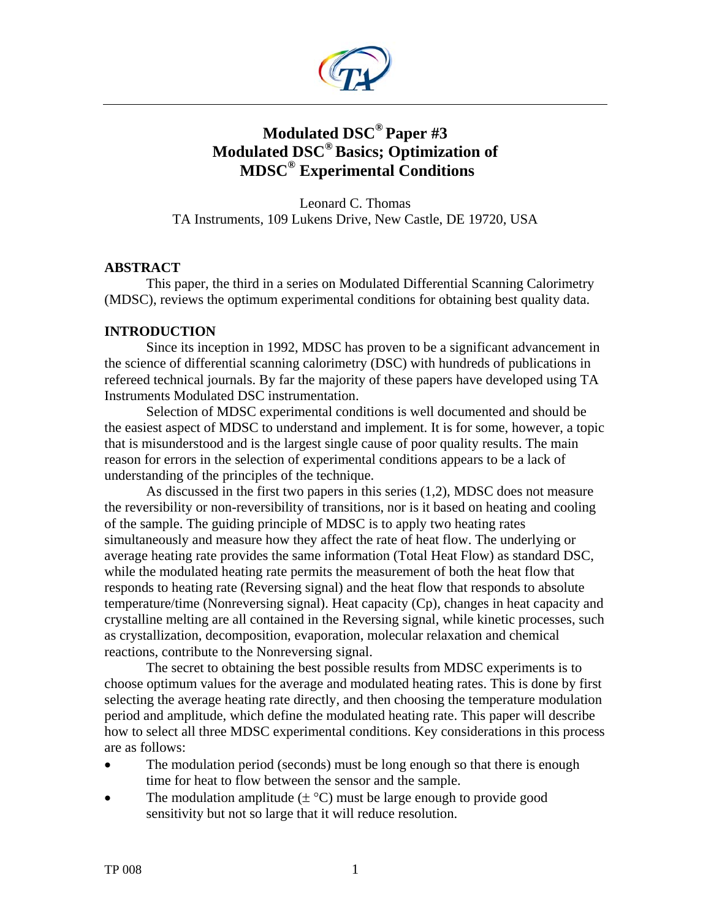

# **Modulated DSC® Paper #3 Modulated DSC® Basics; Optimization of MDSC® Experimental Conditions**

Leonard C. Thomas TA Instruments, 109 Lukens Drive, New Castle, DE 19720, USA

# **ABSTRACT**

This paper, the third in a series on Modulated Differential Scanning Calorimetry (MDSC), reviews the optimum experimental conditions for obtaining best quality data.

# **INTRODUCTION**

Since its inception in 1992, MDSC has proven to be a significant advancement in the science of differential scanning calorimetry (DSC) with hundreds of publications in refereed technical journals. By far the majority of these papers have developed using TA Instruments Modulated DSC instrumentation.

Selection of MDSC experimental conditions is well documented and should be the easiest aspect of MDSC to understand and implement. It is for some, however, a topic that is misunderstood and is the largest single cause of poor quality results. The main reason for errors in the selection of experimental conditions appears to be a lack of understanding of the principles of the technique.

As discussed in the first two papers in this series (1,2), MDSC does not measure the reversibility or non-reversibility of transitions, nor is it based on heating and cooling of the sample. The guiding principle of MDSC is to apply two heating rates simultaneously and measure how they affect the rate of heat flow. The underlying or average heating rate provides the same information (Total Heat Flow) as standard DSC, while the modulated heating rate permits the measurement of both the heat flow that responds to heating rate (Reversing signal) and the heat flow that responds to absolute temperature/time (Nonreversing signal). Heat capacity (Cp), changes in heat capacity and crystalline melting are all contained in the Reversing signal, while kinetic processes, such as crystallization, decomposition, evaporation, molecular relaxation and chemical reactions, contribute to the Nonreversing signal.

The secret to obtaining the best possible results from MDSC experiments is to choose optimum values for the average and modulated heating rates. This is done by first selecting the average heating rate directly, and then choosing the temperature modulation period and amplitude, which define the modulated heating rate. This paper will describe how to select all three MDSC experimental conditions. Key considerations in this process are as follows:

- The modulation period (seconds) must be long enough so that there is enough time for heat to flow between the sensor and the sample.
- The modulation amplitude  $(\pm \degree C)$  must be large enough to provide good sensitivity but not so large that it will reduce resolution.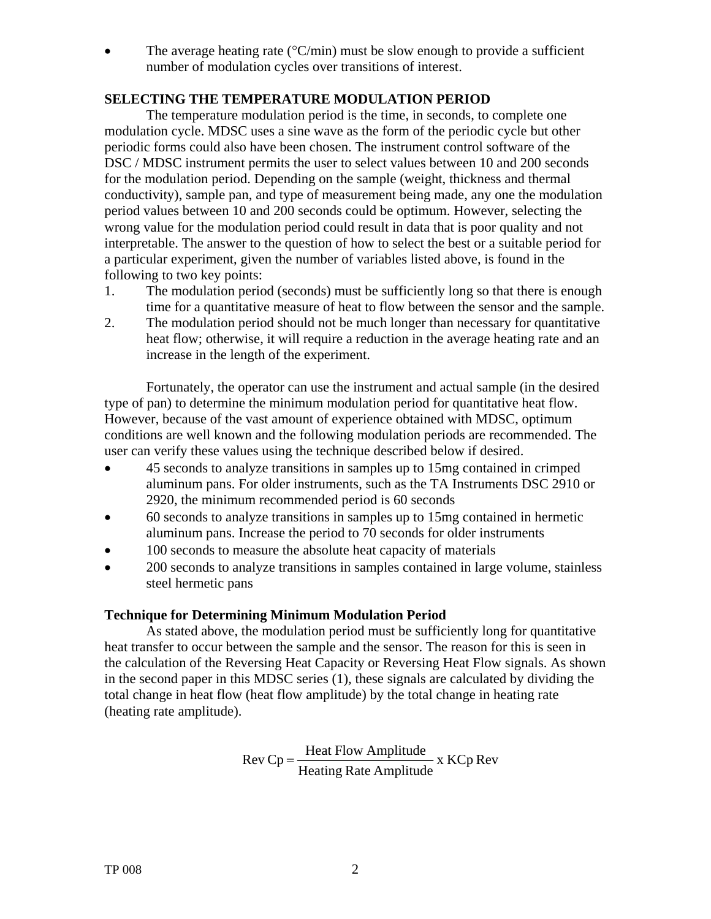• The average heating rate ( ${}^{\circ}$ C/min) must be slow enough to provide a sufficient number of modulation cycles over transitions of interest.

# **SELECTING THE TEMPERATURE MODULATION PERIOD**

The temperature modulation period is the time, in seconds, to complete one modulation cycle. MDSC uses a sine wave as the form of the periodic cycle but other periodic forms could also have been chosen. The instrument control software of the DSC / MDSC instrument permits the user to select values between 10 and 200 seconds for the modulation period. Depending on the sample (weight, thickness and thermal conductivity), sample pan, and type of measurement being made, any one the modulation period values between 10 and 200 seconds could be optimum. However, selecting the wrong value for the modulation period could result in data that is poor quality and not interpretable. The answer to the question of how to select the best or a suitable period for a particular experiment, given the number of variables listed above, is found in the following to two key points:

- 1. The modulation period (seconds) must be sufficiently long so that there is enough time for a quantitative measure of heat to flow between the sensor and the sample.
- 2. The modulation period should not be much longer than necessary for quantitative heat flow; otherwise, it will require a reduction in the average heating rate and an increase in the length of the experiment.

Fortunately, the operator can use the instrument and actual sample (in the desired type of pan) to determine the minimum modulation period for quantitative heat flow. However, because of the vast amount of experience obtained with MDSC, optimum conditions are well known and the following modulation periods are recommended. The user can verify these values using the technique described below if desired.

- 45 seconds to analyze transitions in samples up to 15mg contained in crimped aluminum pans. For older instruments, such as the TA Instruments DSC 2910 or 2920, the minimum recommended period is 60 seconds
- 60 seconds to analyze transitions in samples up to 15mg contained in hermetic aluminum pans. Increase the period to 70 seconds for older instruments
- 100 seconds to measure the absolute heat capacity of materials
- 200 seconds to analyze transitions in samples contained in large volume, stainless steel hermetic pans

#### **Technique for Determining Minimum Modulation Period**

As stated above, the modulation period must be sufficiently long for quantitative heat transfer to occur between the sample and the sensor. The reason for this is seen in the calculation of the Reversing Heat Capacity or Reversing Heat Flow signals. As shown in the second paper in this MDSC series (1)*,* these signals are calculated by dividing the total change in heat flow (heat flow amplitude) by the total change in heating rate (heating rate amplitude).

 $\text{Rev Cp} = \frac{\text{Heat Flow Amplitude}}{\text{Heating Rate Amplitude}}$  x KCp Rev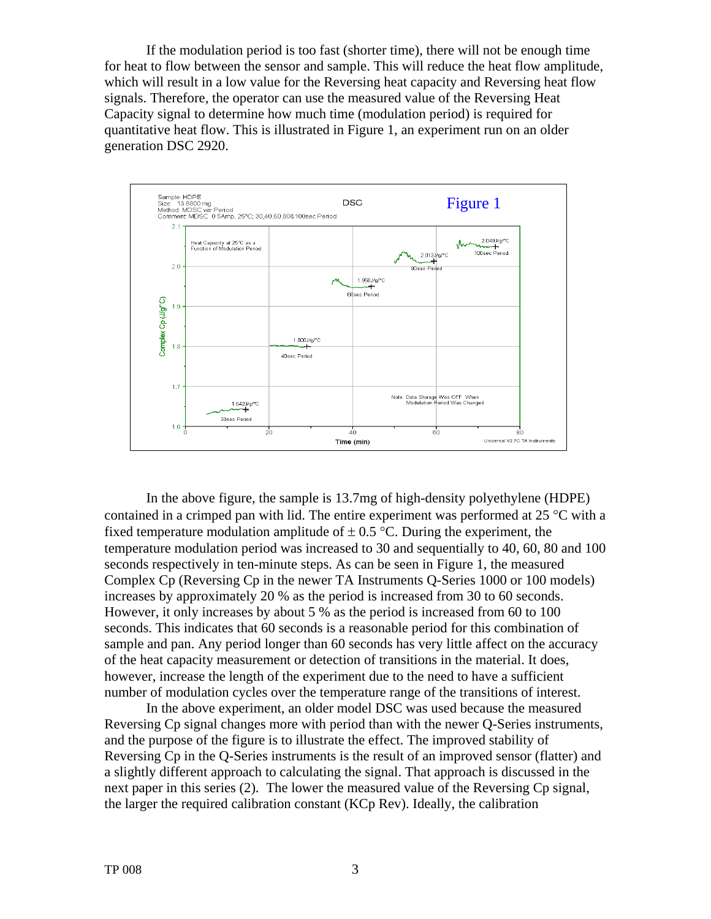If the modulation period is too fast (shorter time), there will not be enough time for heat to flow between the sensor and sample. This will reduce the heat flow amplitude, which will result in a low value for the Reversing heat capacity and Reversing heat flow signals. Therefore, the operator can use the measured value of the Reversing Heat Capacity signal to determine how much time (modulation period) is required for quantitative heat flow. This is illustrated in Figure 1, an experiment run on an older generation DSC 2920.



In the above figure, the sample is 13.7mg of high-density polyethylene (HDPE) contained in a crimped pan with lid. The entire experiment was performed at 25 °C with a fixed temperature modulation amplitude of  $\pm$  0.5 °C. During the experiment, the temperature modulation period was increased to 30 and sequentially to 40, 60, 80 and 100 seconds respectively in ten-minute steps. As can be seen in Figure 1, the measured Complex Cp (Reversing Cp in the newer TA Instruments Q-Series 1000 or 100 models) increases by approximately 20 % as the period is increased from 30 to 60 seconds. However, it only increases by about 5 % as the period is increased from 60 to 100 seconds. This indicates that 60 seconds is a reasonable period for this combination of sample and pan. Any period longer than 60 seconds has very little affect on the accuracy of the heat capacity measurement or detection of transitions in the material. It does, however, increase the length of the experiment due to the need to have a sufficient number of modulation cycles over the temperature range of the transitions of interest.

In the above experiment, an older model DSC was used because the measured Reversing Cp signal changes more with period than with the newer Q-Series instruments, and the purpose of the figure is to illustrate the effect. The improved stability of Reversing Cp in the Q-Series instruments is the result of an improved sensor (flatter) and a slightly different approach to calculating the signal. That approach is discussed in the next paper in this series (2)*.* The lower the measured value of the Reversing Cp signal, the larger the required calibration constant (KCp Rev). Ideally, the calibration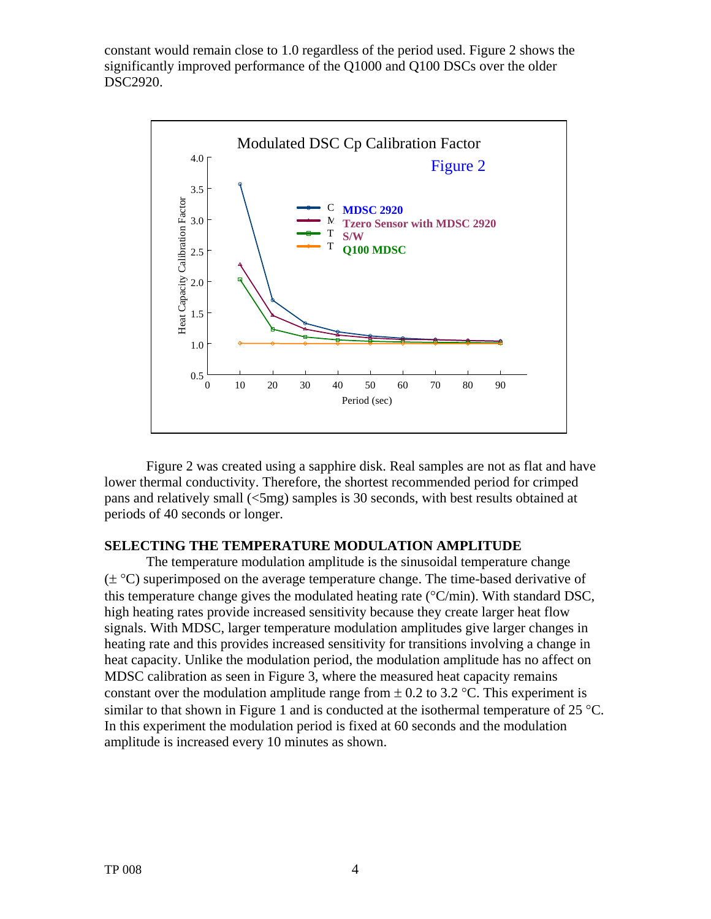constant would remain close to 1.0 regardless of the period used. Figure 2 shows the significantly improved performance of the Q1000 and Q100 DSCs over the older DSC2920.



 Figure 2 was created using a sapphire disk. Real samples are not as flat and have lower thermal conductivity. Therefore, the shortest recommended period for crimped pans and relatively small (<5mg) samples is 30 seconds, with best results obtained at periods of 40 seconds or longer.

#### **SELECTING THE TEMPERATURE MODULATION AMPLITUDE**

The temperature modulation amplitude is the sinusoidal temperature change  $(\pm \degree C)$  superimposed on the average temperature change. The time-based derivative of this temperature change gives the modulated heating rate (°C/min). With standard DSC, high heating rates provide increased sensitivity because they create larger heat flow signals. With MDSC, larger temperature modulation amplitudes give larger changes in heating rate and this provides increased sensitivity for transitions involving a change in heat capacity. Unlike the modulation period, the modulation amplitude has no affect on MDSC calibration as seen in Figure 3, where the measured heat capacity remains constant over the modulation amplitude range from  $\pm$  0.2 to 3.2 °C. This experiment is similar to that shown in Figure 1 and is conducted at the isothermal temperature of  $25^{\circ}$ C. In this experiment the modulation period is fixed at 60 seconds and the modulation amplitude is increased every 10 minutes as shown.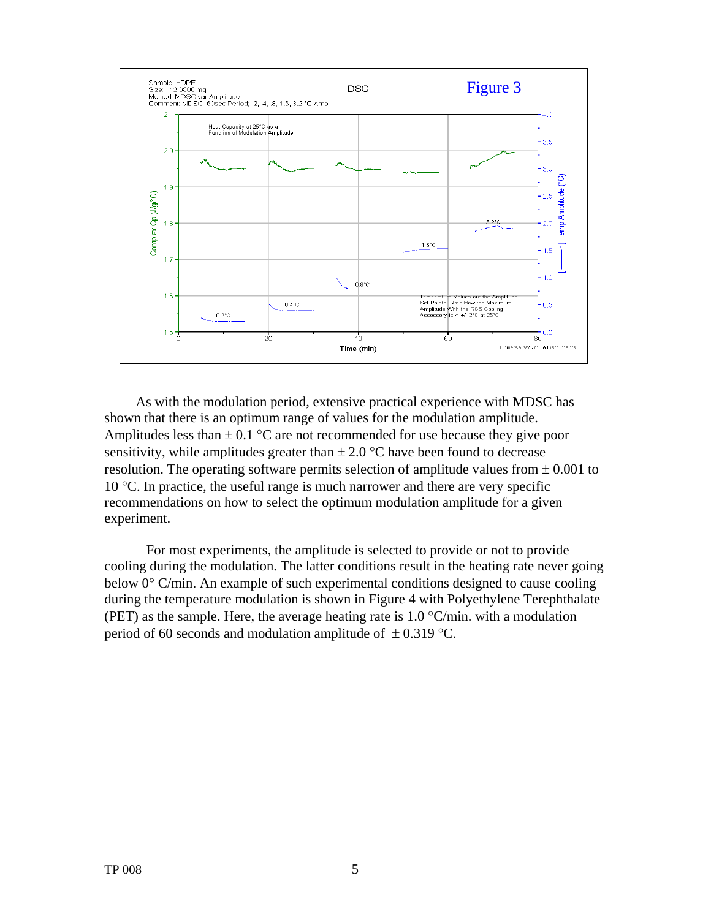

As with the modulation period, extensive practical experience with MDSC has shown that there is an optimum range of values for the modulation amplitude. Amplitudes less than  $\pm$  0.1 °C are not recommended for use because they give poor sensitivity, while amplitudes greater than  $\pm 2.0$  °C have been found to decrease resolution. The operating software permits selection of amplitude values from  $\pm 0.001$  to 10 °C. In practice, the useful range is much narrower and there are very specific recommendations on how to select the optimum modulation amplitude for a given experiment.

For most experiments, the amplitude is selected to provide or not to provide cooling during the modulation. The latter conditions result in the heating rate never going below 0° C/min. An example of such experimental conditions designed to cause cooling during the temperature modulation is shown in Figure 4 with Polyethylene Terephthalate (PET) as the sample. Here, the average heating rate is  $1.0 \degree$ C/min. with a modulation period of 60 seconds and modulation amplitude of  $\pm$  0.319 °C.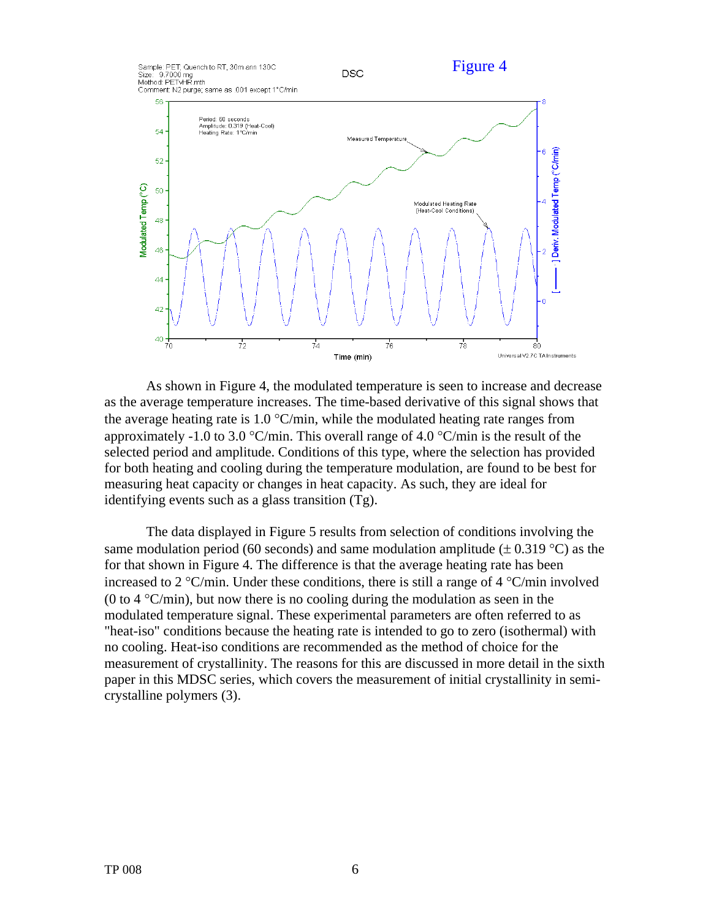

As shown in Figure 4, the modulated temperature is seen to increase and decrease as the average temperature increases. The time-based derivative of this signal shows that the average heating rate is  $1.0 \degree$ C/min, while the modulated heating rate ranges from approximately -1.0 to 3.0  $\textdegree$ C/min. This overall range of 4.0  $\textdegree$ C/min is the result of the selected period and amplitude. Conditions of this type, where the selection has provided for both heating and cooling during the temperature modulation, are found to be best for measuring heat capacity or changes in heat capacity. As such, they are ideal for identifying events such as a glass transition (Tg).

The data displayed in Figure 5 results from selection of conditions involving the same modulation period (60 seconds) and same modulation amplitude ( $\pm$  0.319 °C) as the for that shown in Figure 4. The difference is that the average heating rate has been increased to 2 °C/min. Under these conditions, there is still a range of 4 °C/min involved (0 to 4  $\textdegree$ C/min), but now there is no cooling during the modulation as seen in the modulated temperature signal. These experimental parameters are often referred to as "heat-iso" conditions because the heating rate is intended to go to zero (isothermal) with no cooling. Heat-iso conditions are recommended as the method of choice for the measurement of crystallinity. The reasons for this are discussed in more detail in the sixth paper in this MDSC series, which covers the measurement of initial crystallinity in semicrystalline polymers (3).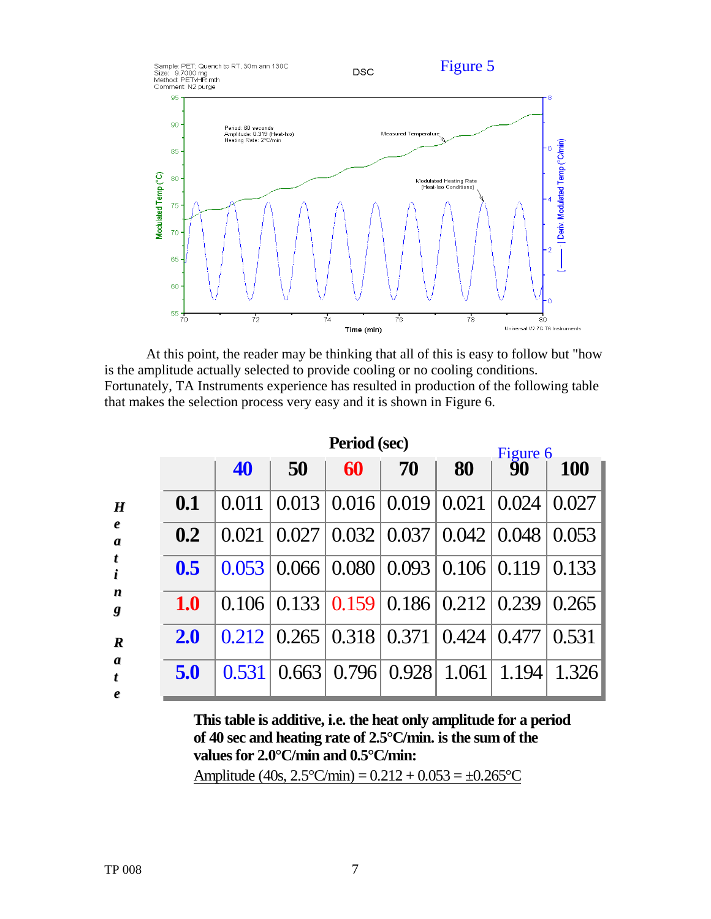

At this point, the reader may be thinking that all of this is easy to follow but "how is the amplitude actually selected to provide cooling or no cooling conditions. Fortunately, TA Instruments experience has resulted in production of the following table that makes the selection process very easy and it is shown in Figure 6.

|            | Period (sec) |       |                                          |       |       | Figure 6           |            |
|------------|--------------|-------|------------------------------------------|-------|-------|--------------------|------------|
|            | 40           | 50    | 60                                       | 70    | 80    | 90                 | <b>100</b> |
| 0.1        | 0.011        | 0.013 | $0.016 \,   \, 0.019$                    |       | 0.021 | 0.024              | 0.027      |
| 0.2        | 0.021        | 0.027 | $\vert 0.032 \, \vert 0.037 \vert$       |       |       | $0.042 \mid 0.048$ | 0.053      |
| 0.5        | 0.053        |       | $0.066 \mid 0.080 \mid$                  | 0.093 | 0.106 | 0.119              | 0.133      |
| <b>1.0</b> | 0.106        |       | $0.133 \mid 0.159 \mid 0.186 \mid 0.212$ |       |       | 0.239              | 0.265      |
| <b>2.0</b> | 0.212        |       | $0.265 \mid 0.318 \mid$                  | 0.371 | 0.424 | 0.477              | 0.531      |
| 5.0        | 0.531        | 0.663 | 0.796                                    | 0.928 | 1.061 | 1.194              | 1.326      |

**This table is additive, i.e. the heat only amplitude for a period of 40 sec and heating rate of 2.5°C/min. is the sum of the values for 2.0°C/min and 0.5°C/min:** Amplitude (40s,  $2.5^{\circ}$ C/min) =  $0.212 + 0.053 = \pm 0.265^{\circ}$ C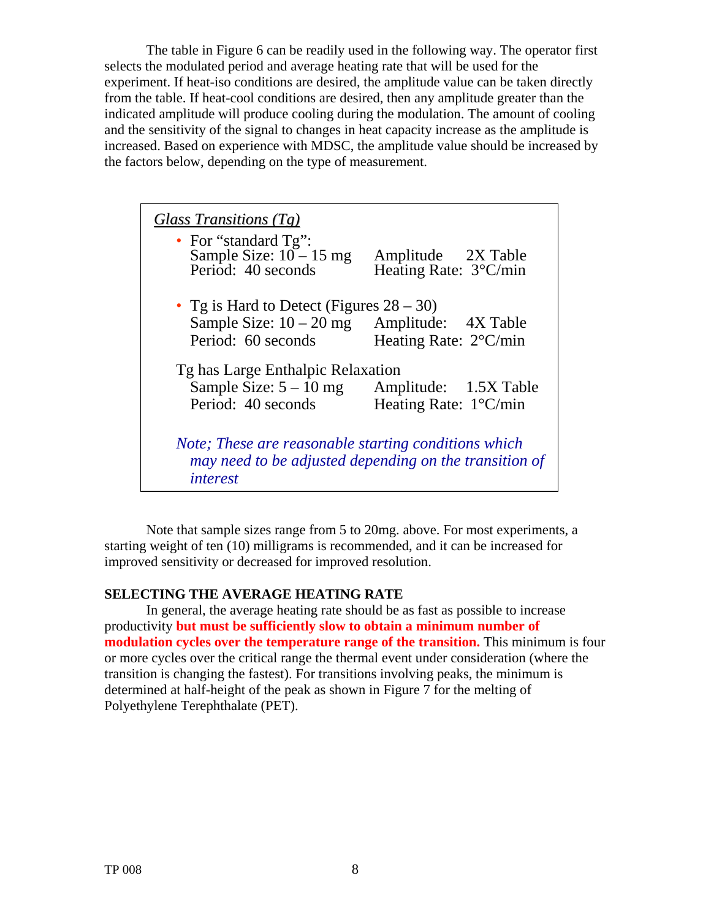The table in Figure 6 can be readily used in the following way. The operator first selects the modulated period and average heating rate that will be used for the experiment. If heat-iso conditions are desired, the amplitude value can be taken directly from the table. If heat-cool conditions are desired, then any amplitude greater than the indicated amplitude will produce cooling during the modulation. The amount of cooling and the sensitivity of the signal to changes in heat capacity increase as the amplitude is increased. Based on experience with MDSC, the amplitude value should be increased by the factors below, depending on the type of measurement.

| Glass Transitions $(Tg)$                               |                                 |  |  |  |  |  |  |
|--------------------------------------------------------|---------------------------------|--|--|--|--|--|--|
| • For "standard $Tg$ ":                                |                                 |  |  |  |  |  |  |
| Sample Size: $10 - 15$ mg                              | Amplitude 2X Table              |  |  |  |  |  |  |
| Period: 40 seconds                                     | Heating Rate: 3°C/min           |  |  |  |  |  |  |
|                                                        |                                 |  |  |  |  |  |  |
| • Tg is Hard to Detect (Figures $28 - 30$ )            |                                 |  |  |  |  |  |  |
| Sample Size: $10 - 20$ mg                              | Amplitude: 4X Table             |  |  |  |  |  |  |
| Period: 60 seconds                                     | Heating Rate: $2^{\circ}$ C/min |  |  |  |  |  |  |
| Tg has Large Enthalpic Relaxation                      |                                 |  |  |  |  |  |  |
| Sample Size: $5 - 10$ mg                               | Amplitude: 1.5X Table           |  |  |  |  |  |  |
|                                                        |                                 |  |  |  |  |  |  |
| Period: 40 seconds                                     | Heating Rate: $1^{\circ}$ C/min |  |  |  |  |  |  |
|                                                        |                                 |  |  |  |  |  |  |
| Note; These are reasonable starting conditions which   |                                 |  |  |  |  |  |  |
| may need to be adjusted depending on the transition of |                                 |  |  |  |  |  |  |
| <i>interest</i>                                        |                                 |  |  |  |  |  |  |
|                                                        |                                 |  |  |  |  |  |  |

Note that sample sizes range from 5 to 20mg. above. For most experiments, a starting weight of ten (10) milligrams is recommended, and it can be increased for improved sensitivity or decreased for improved resolution.

#### **SELECTING THE AVERAGE HEATING RATE**

In general, the average heating rate should be as fast as possible to increase productivity **but must be sufficiently slow to obtain a minimum number of modulation cycles over the temperature range of the transition.** This minimum is four or more cycles over the critical range the thermal event under consideration (where the transition is changing the fastest). For transitions involving peaks, the minimum is determined at half-height of the peak as shown in Figure 7 for the melting of Polyethylene Terephthalate (PET).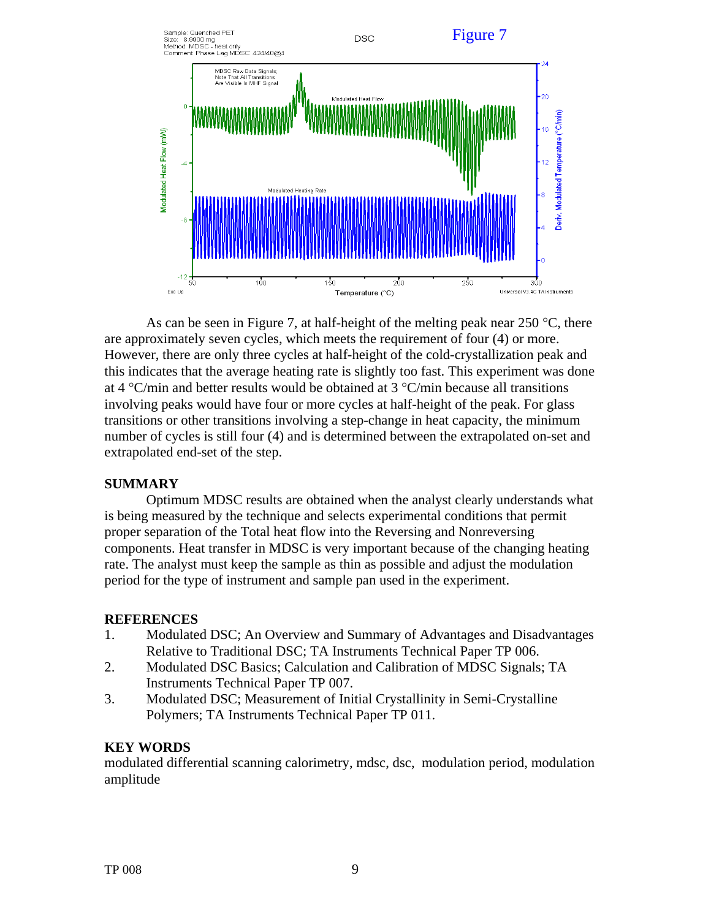

As can be seen in Figure 7, at half-height of the melting peak near 250  $^{\circ}$ C, there are approximately seven cycles, which meets the requirement of four (4) or more. However, there are only three cycles at half-height of the cold-crystallization peak and this indicates that the average heating rate is slightly too fast. This experiment was done at 4  $\rm{°C/min}$  and better results would be obtained at 3  $\rm{°C/min}$  because all transitions involving peaks would have four or more cycles at half-height of the peak. For glass transitions or other transitions involving a step-change in heat capacity, the minimum number of cycles is still four (4) and is determined between the extrapolated on-set and extrapolated end-set of the step.

#### **SUMMARY**

Optimum MDSC results are obtained when the analyst clearly understands what is being measured by the technique and selects experimental conditions that permit proper separation of the Total heat flow into the Reversing and Nonreversing components. Heat transfer in MDSC is very important because of the changing heating rate. The analyst must keep the sample as thin as possible and adjust the modulation period for the type of instrument and sample pan used in the experiment.

# **REFERENCES**

- 1. Modulated DSC; An Overview and Summary of Advantages and Disadvantages Relative to Traditional DSC; TA Instruments Technical Paper TP 006.
- 2. Modulated DSC Basics; Calculation and Calibration of MDSC Signals; TA Instruments Technical Paper TP 007.
- 3. Modulated DSC; Measurement of Initial Crystallinity in Semi-Crystalline Polymers; TA Instruments Technical Paper TP 011.

# **KEY WORDS**

modulated differential scanning calorimetry, mdsc, dsc, modulation period, modulation amplitude